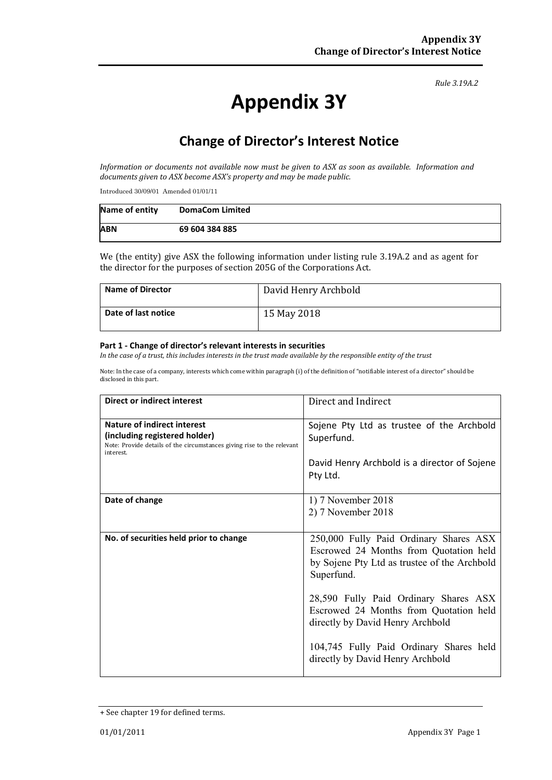#### *Rule 3.19A.2*

# **Appendix 3Y**

## **Change of Director's Interest Notice**

*Information or documents not available now must be given to ASX as soon as available. Information and documents given to ASX become ASX's property and may be made public.*

Introduced 30/09/01 Amended 01/01/11

| Name of entity | <b>DomaCom Limited</b> |
|----------------|------------------------|
| <b>ABN</b>     | 69 604 384 885         |

We (the entity) give ASX the following information under listing rule 3.19A.2 and as agent for the director for the purposes of section 205G of the Corporations Act.

| <b>Name of Director</b> | David Henry Archbold |
|-------------------------|----------------------|
| Date of last notice     | 15 May 2018          |

#### **Part 1 - Change of director's relevant interests in securities**

*In the case of a trust, this includes interests in the trust made available by the responsible entity of the trust*

Note: In the case of a company, interests which come within paragraph (i) of the definition of "notifiable interest of a director" should be disclosed in this part.

| <b>Direct or indirect interest</b>                                                                                                                  | Direct and Indirect                                                                                                                            |  |
|-----------------------------------------------------------------------------------------------------------------------------------------------------|------------------------------------------------------------------------------------------------------------------------------------------------|--|
| Nature of indirect interest<br>(including registered holder)<br>Note: Provide details of the circumstances giving rise to the relevant<br>interest. | Sojene Pty Ltd as trustee of the Archbold<br>Superfund.<br>David Henry Archbold is a director of Sojene<br>Pty Ltd.                            |  |
| Date of change                                                                                                                                      | 1) 7 November 2018<br>2) 7 November 2018                                                                                                       |  |
| No. of securities held prior to change                                                                                                              | 250,000 Fully Paid Ordinary Shares ASX<br>Escrowed 24 Months from Quotation held<br>by Sojene Pty Ltd as trustee of the Archbold<br>Superfund. |  |
|                                                                                                                                                     | 28,590 Fully Paid Ordinary Shares ASX<br>Escrowed 24 Months from Quotation held<br>directly by David Henry Archbold                            |  |
|                                                                                                                                                     | 104,745 Fully Paid Ordinary Shares held<br>directly by David Henry Archbold                                                                    |  |

<sup>+</sup> See chapter 19 for defined terms.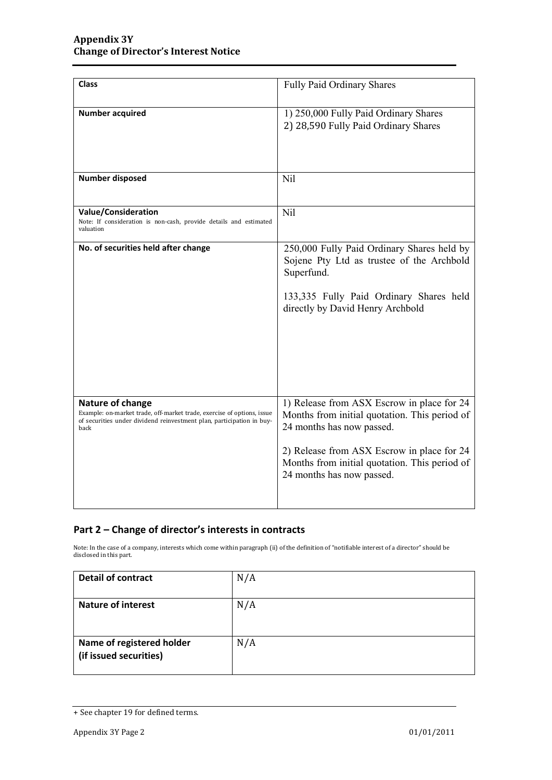| <b>Class</b>                                                                                                                                                                | Fully Paid Ordinary Shares                                                                                                                                                                                                                           |
|-----------------------------------------------------------------------------------------------------------------------------------------------------------------------------|------------------------------------------------------------------------------------------------------------------------------------------------------------------------------------------------------------------------------------------------------|
| <b>Number acquired</b>                                                                                                                                                      | 1) 250,000 Fully Paid Ordinary Shares<br>2) 28,590 Fully Paid Ordinary Shares                                                                                                                                                                        |
| <b>Number disposed</b>                                                                                                                                                      | Nil                                                                                                                                                                                                                                                  |
| Value/Consideration<br>Note: If consideration is non-cash, provide details and estimated<br>valuation                                                                       | Nil                                                                                                                                                                                                                                                  |
| No. of securities held after change                                                                                                                                         | 250,000 Fully Paid Ordinary Shares held by<br>Sojene Pty Ltd as trustee of the Archbold<br>Superfund.<br>133,335 Fully Paid Ordinary Shares held<br>directly by David Henry Archbold                                                                 |
| Nature of change<br>Example: on-market trade, off-market trade, exercise of options, issue<br>of securities under dividend reinvestment plan, participation in buy-<br>back | 1) Release from ASX Escrow in place for 24<br>Months from initial quotation. This period of<br>24 months has now passed.<br>2) Release from ASX Escrow in place for 24<br>Months from initial quotation. This period of<br>24 months has now passed. |

### **Part 2 – Change of director's interests in contracts**

Note: In the case of a company, interests which come within paragraph (ii) of the definition of "notifiable interest of a director" should be disclosed in this part.

| <b>Detail of contract</b>                           | N/A |
|-----------------------------------------------------|-----|
| <b>Nature of interest</b>                           | N/A |
| Name of registered holder<br>(if issued securities) | N/A |

<sup>+</sup> See chapter 19 for defined terms.